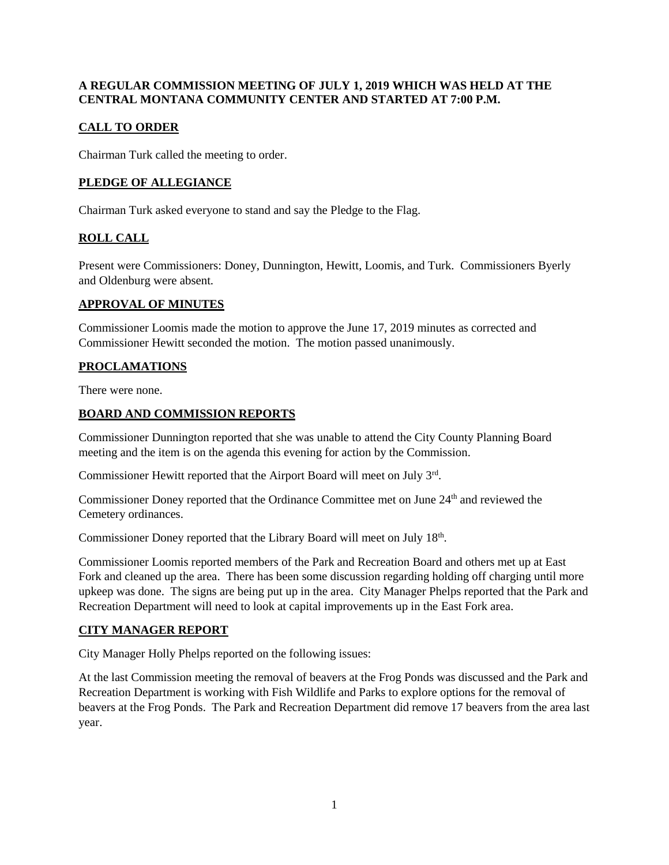#### **A REGULAR COMMISSION MEETING OF JULY 1, 2019 WHICH WAS HELD AT THE CENTRAL MONTANA COMMUNITY CENTER AND STARTED AT 7:00 P.M.**

# **CALL TO ORDER**

Chairman Turk called the meeting to order.

## **PLEDGE OF ALLEGIANCE**

Chairman Turk asked everyone to stand and say the Pledge to the Flag.

# **ROLL CALL**

Present were Commissioners: Doney, Dunnington, Hewitt, Loomis, and Turk. Commissioners Byerly and Oldenburg were absent.

#### **APPROVAL OF MINUTES**

Commissioner Loomis made the motion to approve the June 17, 2019 minutes as corrected and Commissioner Hewitt seconded the motion. The motion passed unanimously.

## **PROCLAMATIONS**

There were none.

## **BOARD AND COMMISSION REPORTS**

Commissioner Dunnington reported that she was unable to attend the City County Planning Board meeting and the item is on the agenda this evening for action by the Commission.

Commissioner Hewitt reported that the Airport Board will meet on July 3rd.

Commissioner Doney reported that the Ordinance Committee met on June 24<sup>th</sup> and reviewed the Cemetery ordinances.

Commissioner Doney reported that the Library Board will meet on July 18<sup>th</sup>.

Commissioner Loomis reported members of the Park and Recreation Board and others met up at East Fork and cleaned up the area. There has been some discussion regarding holding off charging until more upkeep was done. The signs are being put up in the area. City Manager Phelps reported that the Park and Recreation Department will need to look at capital improvements up in the East Fork area.

## **CITY MANAGER REPORT**

City Manager Holly Phelps reported on the following issues:

At the last Commission meeting the removal of beavers at the Frog Ponds was discussed and the Park and Recreation Department is working with Fish Wildlife and Parks to explore options for the removal of beavers at the Frog Ponds. The Park and Recreation Department did remove 17 beavers from the area last year.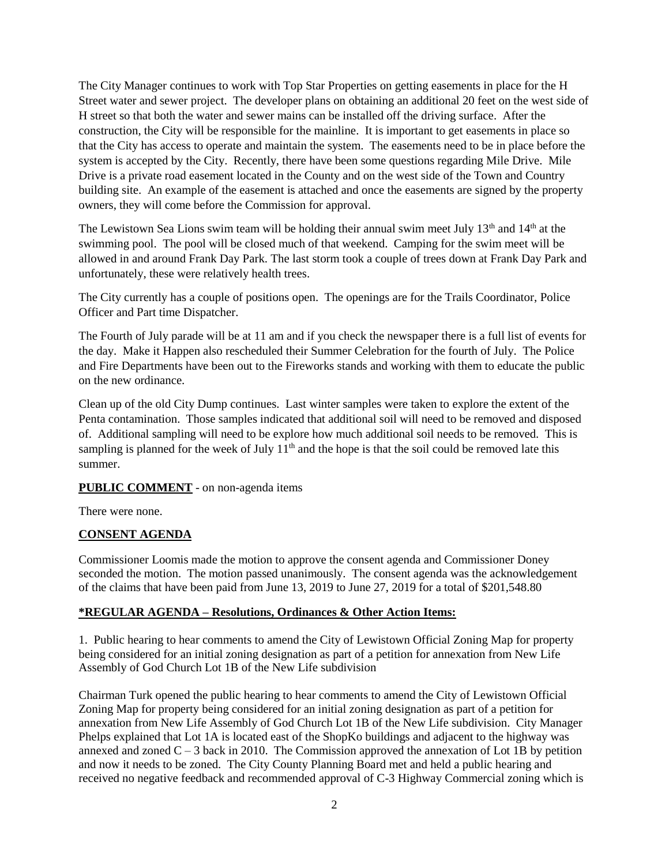The City Manager continues to work with Top Star Properties on getting easements in place for the H Street water and sewer project. The developer plans on obtaining an additional 20 feet on the west side of H street so that both the water and sewer mains can be installed off the driving surface. After the construction, the City will be responsible for the mainline. It is important to get easements in place so that the City has access to operate and maintain the system. The easements need to be in place before the system is accepted by the City. Recently, there have been some questions regarding Mile Drive. Mile Drive is a private road easement located in the County and on the west side of the Town and Country building site. An example of the easement is attached and once the easements are signed by the property owners, they will come before the Commission for approval.

The Lewistown Sea Lions swim team will be holding their annual swim meet July 13<sup>th</sup> and 14<sup>th</sup> at the swimming pool. The pool will be closed much of that weekend. Camping for the swim meet will be allowed in and around Frank Day Park. The last storm took a couple of trees down at Frank Day Park and unfortunately, these were relatively health trees.

The City currently has a couple of positions open. The openings are for the Trails Coordinator, Police Officer and Part time Dispatcher.

The Fourth of July parade will be at 11 am and if you check the newspaper there is a full list of events for the day. Make it Happen also rescheduled their Summer Celebration for the fourth of July. The Police and Fire Departments have been out to the Fireworks stands and working with them to educate the public on the new ordinance.

Clean up of the old City Dump continues. Last winter samples were taken to explore the extent of the Penta contamination. Those samples indicated that additional soil will need to be removed and disposed of. Additional sampling will need to be explore how much additional soil needs to be removed. This is sampling is planned for the week of July  $11<sup>th</sup>$  and the hope is that the soil could be removed late this summer.

#### **PUBLIC COMMENT** - on non-agenda items

There were none.

#### **CONSENT AGENDA**

Commissioner Loomis made the motion to approve the consent agenda and Commissioner Doney seconded the motion. The motion passed unanimously. The consent agenda was the acknowledgement of the claims that have been paid from June 13, 2019 to June 27, 2019 for a total of \$201,548.80

#### **\*REGULAR AGENDA – Resolutions, Ordinances & Other Action Items:**

1. Public hearing to hear comments to amend the City of Lewistown Official Zoning Map for property being considered for an initial zoning designation as part of a petition for annexation from New Life Assembly of God Church Lot 1B of the New Life subdivision

Chairman Turk opened the public hearing to hear comments to amend the City of Lewistown Official Zoning Map for property being considered for an initial zoning designation as part of a petition for annexation from New Life Assembly of God Church Lot 1B of the New Life subdivision. City Manager Phelps explained that Lot 1A is located east of the ShopKo buildings and adjacent to the highway was annexed and zoned  $C - 3$  back in 2010. The Commission approved the annexation of Lot 1B by petition and now it needs to be zoned. The City County Planning Board met and held a public hearing and received no negative feedback and recommended approval of C-3 Highway Commercial zoning which is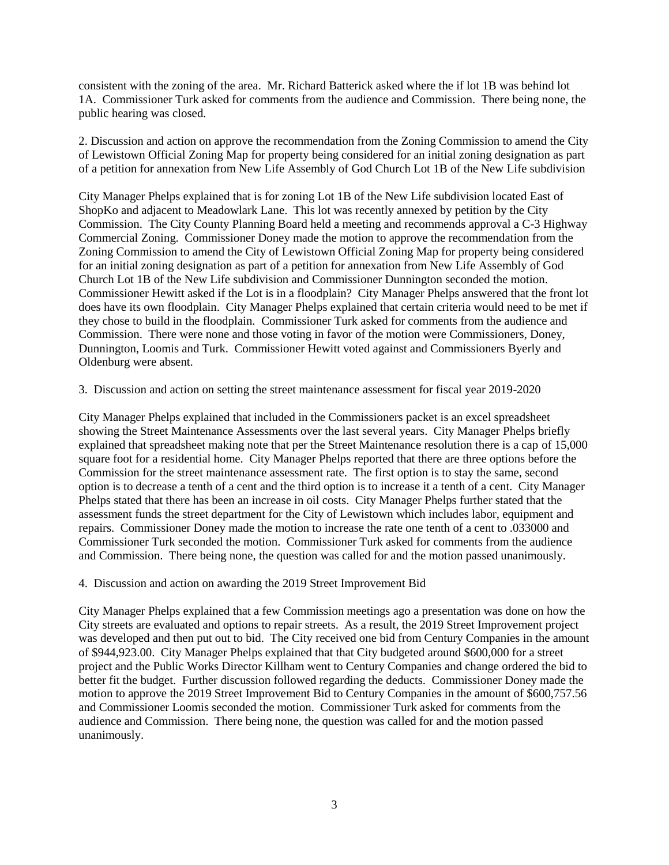consistent with the zoning of the area. Mr. Richard Batterick asked where the if lot 1B was behind lot 1A. Commissioner Turk asked for comments from the audience and Commission. There being none, the public hearing was closed.

2. Discussion and action on approve the recommendation from the Zoning Commission to amend the City of Lewistown Official Zoning Map for property being considered for an initial zoning designation as part of a petition for annexation from New Life Assembly of God Church Lot 1B of the New Life subdivision

City Manager Phelps explained that is for zoning Lot 1B of the New Life subdivision located East of ShopKo and adjacent to Meadowlark Lane. This lot was recently annexed by petition by the City Commission. The City County Planning Board held a meeting and recommends approval a C-3 Highway Commercial Zoning. Commissioner Doney made the motion to approve the recommendation from the Zoning Commission to amend the City of Lewistown Official Zoning Map for property being considered for an initial zoning designation as part of a petition for annexation from New Life Assembly of God Church Lot 1B of the New Life subdivision and Commissioner Dunnington seconded the motion. Commissioner Hewitt asked if the Lot is in a floodplain? City Manager Phelps answered that the front lot does have its own floodplain. City Manager Phelps explained that certain criteria would need to be met if they chose to build in the floodplain. Commissioner Turk asked for comments from the audience and Commission. There were none and those voting in favor of the motion were Commissioners, Doney, Dunnington, Loomis and Turk. Commissioner Hewitt voted against and Commissioners Byerly and Oldenburg were absent.

3. Discussion and action on setting the street maintenance assessment for fiscal year 2019-2020

City Manager Phelps explained that included in the Commissioners packet is an excel spreadsheet showing the Street Maintenance Assessments over the last several years. City Manager Phelps briefly explained that spreadsheet making note that per the Street Maintenance resolution there is a cap of 15,000 square foot for a residential home. City Manager Phelps reported that there are three options before the Commission for the street maintenance assessment rate. The first option is to stay the same, second option is to decrease a tenth of a cent and the third option is to increase it a tenth of a cent. City Manager Phelps stated that there has been an increase in oil costs. City Manager Phelps further stated that the assessment funds the street department for the City of Lewistown which includes labor, equipment and repairs. Commissioner Doney made the motion to increase the rate one tenth of a cent to .033000 and Commissioner Turk seconded the motion. Commissioner Turk asked for comments from the audience and Commission. There being none, the question was called for and the motion passed unanimously.

4. Discussion and action on awarding the 2019 Street Improvement Bid

City Manager Phelps explained that a few Commission meetings ago a presentation was done on how the City streets are evaluated and options to repair streets. As a result, the 2019 Street Improvement project was developed and then put out to bid. The City received one bid from Century Companies in the amount of \$944,923.00. City Manager Phelps explained that that City budgeted around \$600,000 for a street project and the Public Works Director Killham went to Century Companies and change ordered the bid to better fit the budget. Further discussion followed regarding the deducts. Commissioner Doney made the motion to approve the 2019 Street Improvement Bid to Century Companies in the amount of \$600,757.56 and Commissioner Loomis seconded the motion. Commissioner Turk asked for comments from the audience and Commission. There being none, the question was called for and the motion passed unanimously.